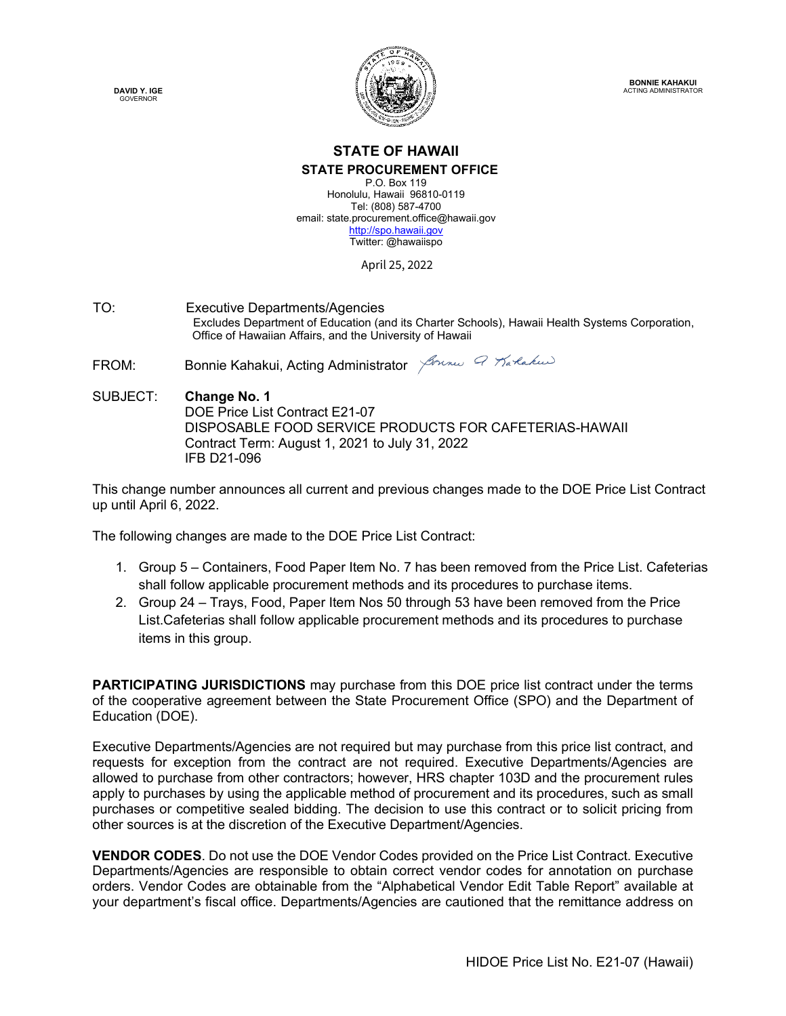**DAVID Y. IGE GOVERNOR** 



# **STATE OF HAWAII STATE PROCUREMENT OFFICE**

P.O. Box 119 Honolulu, Hawaii 96810-0119 Tel: (808) 587-4700 email: state.procurement.office@hawaii.gov [http://spo.hawaii.gov](http://spo.hawaii.gov/) Twitter: @hawaiispo

April 25, 2022

TO: Executive Departments/Agencies Excludes Department of Education (and its Charter Schools), Hawaii Health Systems Corporation, Office of Hawaiian Affairs, and the University of Hawaii

FROM: Bonnie Kahakui, Acting Administrator Journal of Translation

SUBJECT: **Change No. 1** DOE Price List Contract E21-07 DISPOSABLE FOOD SERVICE PRODUCTS FOR CAFETERIAS-HAWAII Contract Term: August 1, 2021 to July 31, 2022 IFB D21-096

This change number announces all current and previous changes made to the DOE Price List Contract up until April 6, 2022.

The following changes are made to the DOE Price List Contract:

- 1. Group 5 Containers, Food Paper Item No. 7 has been removed from the Price List. Cafeterias shall follow applicable procurement methods and its procedures to purchase items.
- 2. Group 24 Trays, Food, Paper Item Nos 50 through 53 have been removed from the Price List.Cafeterias shall follow applicable procurement methods and its procedures to purchase items in this group.

**PARTICIPATING JURISDICTIONS** may purchase from this DOE price list contract under the terms of the cooperative agreement between the State Procurement Office (SPO) and the Department of Education (DOE).

Executive Departments/Agencies are not required but may purchase from this price list contract, and requests for exception from the contract are not required. Executive Departments/Agencies are allowed to purchase from other contractors; however, HRS chapter 103D and the procurement rules apply to purchases by using the applicable method of procurement and its procedures, such as small purchases or competitive sealed bidding. The decision to use this contract or to solicit pricing from other sources is at the discretion of the Executive Department/Agencies.

**VENDOR CODES**. Do not use the DOE Vendor Codes provided on the Price List Contract. Executive Departments/Agencies are responsible to obtain correct vendor codes for annotation on purchase orders. Vendor Codes are obtainable from the "Alphabetical Vendor Edit Table Report" available at your department's fiscal office. Departments/Agencies are cautioned that the remittance address on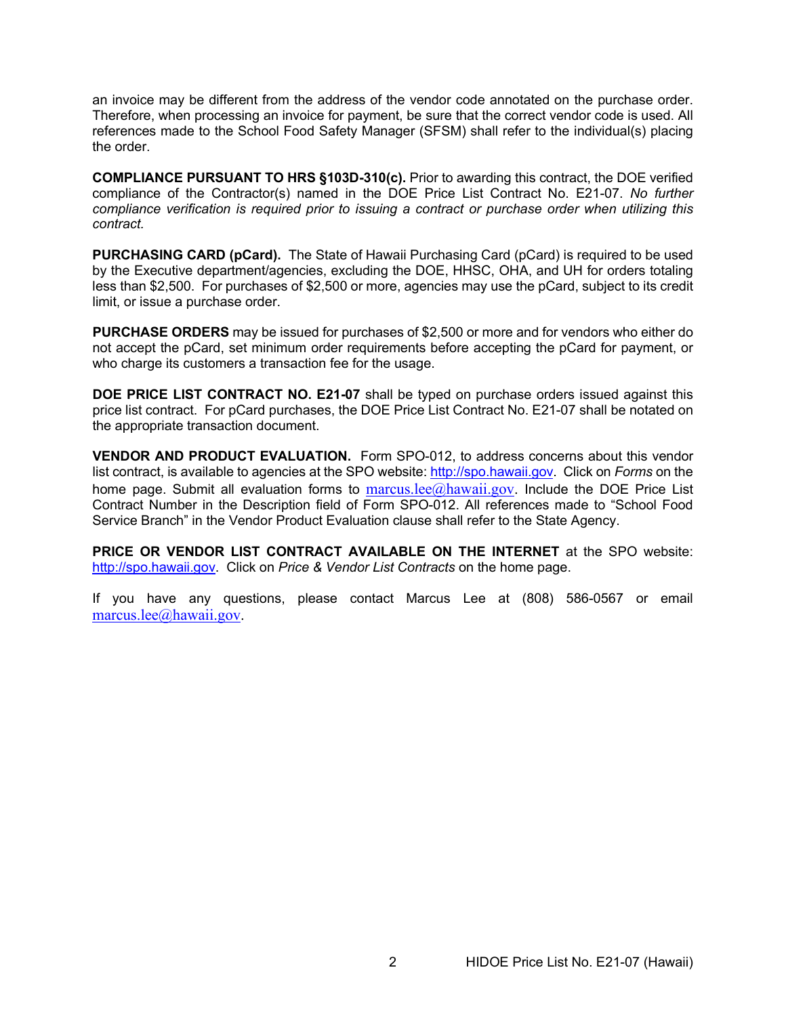an invoice may be different from the address of the vendor code annotated on the purchase order. Therefore, when processing an invoice for payment, be sure that the correct vendor code is used. All references made to the School Food Safety Manager (SFSM) shall refer to the individual(s) placing the order.

**COMPLIANCE PURSUANT TO HRS §103D-310(c).** Prior to awarding this contract, the DOE verified compliance of the Contractor(s) named in the DOE Price List Contract No. E21-07. *No further compliance verification is required prior to issuing a contract or purchase order when utilizing this contract.*

**PURCHASING CARD (pCard).** The State of Hawaii Purchasing Card (pCard) is required to be used by the Executive department/agencies, excluding the DOE, HHSC, OHA, and UH for orders totaling less than \$2,500. For purchases of \$2,500 or more, agencies may use the pCard, subject to its credit limit, or issue a purchase order.

**PURCHASE ORDERS** may be issued for purchases of \$2,500 or more and for vendors who either do not accept the pCard, set minimum order requirements before accepting the pCard for payment, or who charge its customers a transaction fee for the usage.

**DOE PRICE LIST CONTRACT NO. E21-07** shall be typed on purchase orders issued against this price list contract. For pCard purchases, the DOE Price List Contract No. E21-07 shall be notated on the appropriate transaction document.

**VENDOR AND PRODUCT EVALUATION.** Form SPO-012, to address concerns about this vendor list contract, is available to agencies at the SPO website: [http://spo.hawaii.gov.](http://spo.hawaii.gov/) Click on *Forms* on the home page. Submit all evaluation forms to marcus.  $\text{dec}(\hat{\omega})$ hawaii. gov. Include the DOE Price List Contract Number in the Description field of Form SPO-012. All references made to "School Food Service Branch" in the Vendor Product Evaluation clause shall refer to the State Agency.

**PRICE OR VENDOR LIST CONTRACT AVAILABLE ON THE INTERNET** at the SPO website: [http://spo.hawaii.gov.](http://spo.hawaii.gov/) Click on *Price & Vendor List Contracts* on the home page.

If you have any questions, please contact Marcus Lee at (808) 586-0567 or email [marcus.lee@hawaii.gov.](mailto:marcus.lee@hawaii.gov)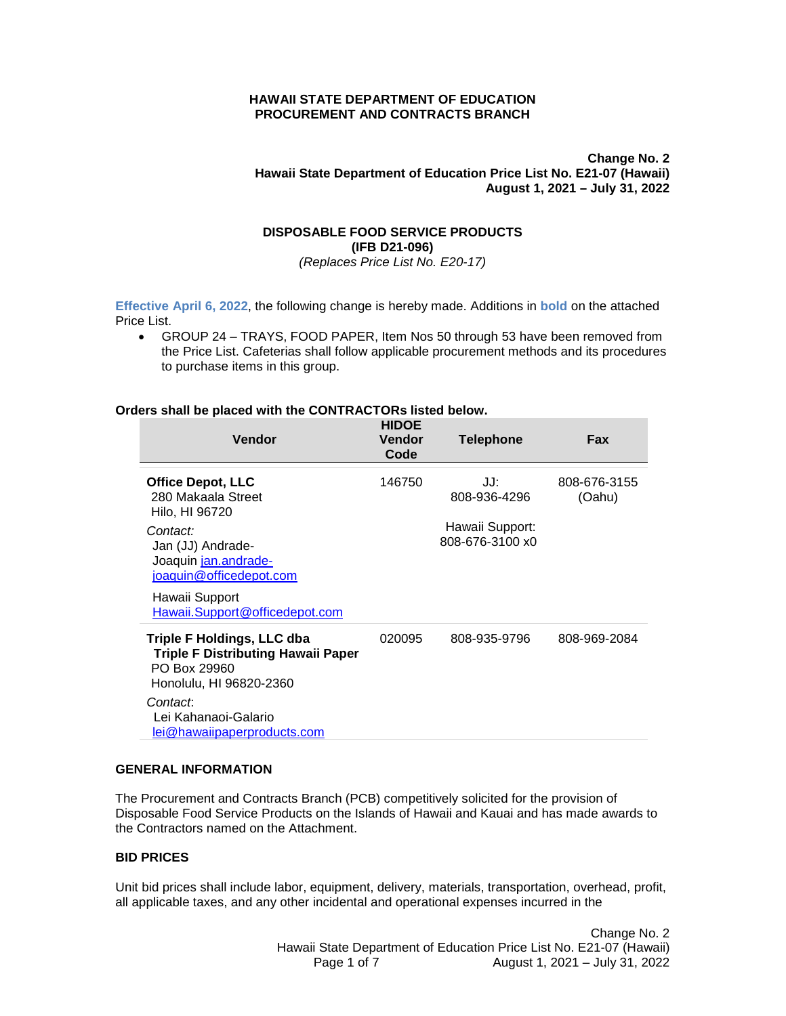### **HAWAII STATE DEPARTMENT OF EDUCATION PROCUREMENT AND CONTRACTS BRANCH**

**Change No. 2 Hawaii State Department of Education Price List No. E21-07 (Hawaii) August 1, 2021 – July 31, 2022**

# **DISPOSABLE FOOD SERVICE PRODUCTS (IFB D21-096)**

*(Replaces Price List No. E20-17)*

**Effective April 6, 2022**, the following change is hereby made. Additions in **bold** on the attached Price List.

• GROUP 24 – TRAYS, FOOD PAPER, Item Nos 50 through 53 have been removed from the Price List. Cafeterias shall follow applicable procurement methods and its procedures to purchase items in this group.

### **Orders shall be placed with the CONTRACTORs listed below.**

| <b>Vendor</b>                                                                                                                                                                                            | <b>HIDOE</b><br>Vendor<br>Code | <b>Telephone</b>                                          | Fax                    |
|----------------------------------------------------------------------------------------------------------------------------------------------------------------------------------------------------------|--------------------------------|-----------------------------------------------------------|------------------------|
| <b>Office Depot, LLC</b><br>280 Makaala Street<br>Hilo, HI 96720<br>Contact:<br>Jan (JJ) Andrade-<br>Joaquin jan.andrade-<br>joaquin@officedepot.com<br>Hawaii Support<br>Hawaii.Support@officedepot.com | 146750                         | JJ:<br>808-936-4296<br>Hawaii Support:<br>808-676-3100 x0 | 808-676-3155<br>(Oahu) |
| <b>Triple F Holdings, LLC dba</b><br><b>Triple F Distributing Hawaii Paper</b><br>PO Box 29960<br>Honolulu, HI 96820-2360<br>Contact:<br>Lei Kahanaoi-Galario<br><u>lei@hawaiipaperproducts.com</u>      | 020095                         | 808-935-9796                                              | 808-969-2084           |

#### **GENERAL INFORMATION**

The Procurement and Contracts Branch (PCB) competitively solicited for the provision of Disposable Food Service Products on the Islands of Hawaii and Kauai and has made awards to the Contractors named on the Attachment.

#### **BID PRICES**

Unit bid prices shall include labor, equipment, delivery, materials, transportation, overhead, profit, all applicable taxes, and any other incidental and operational expenses incurred in the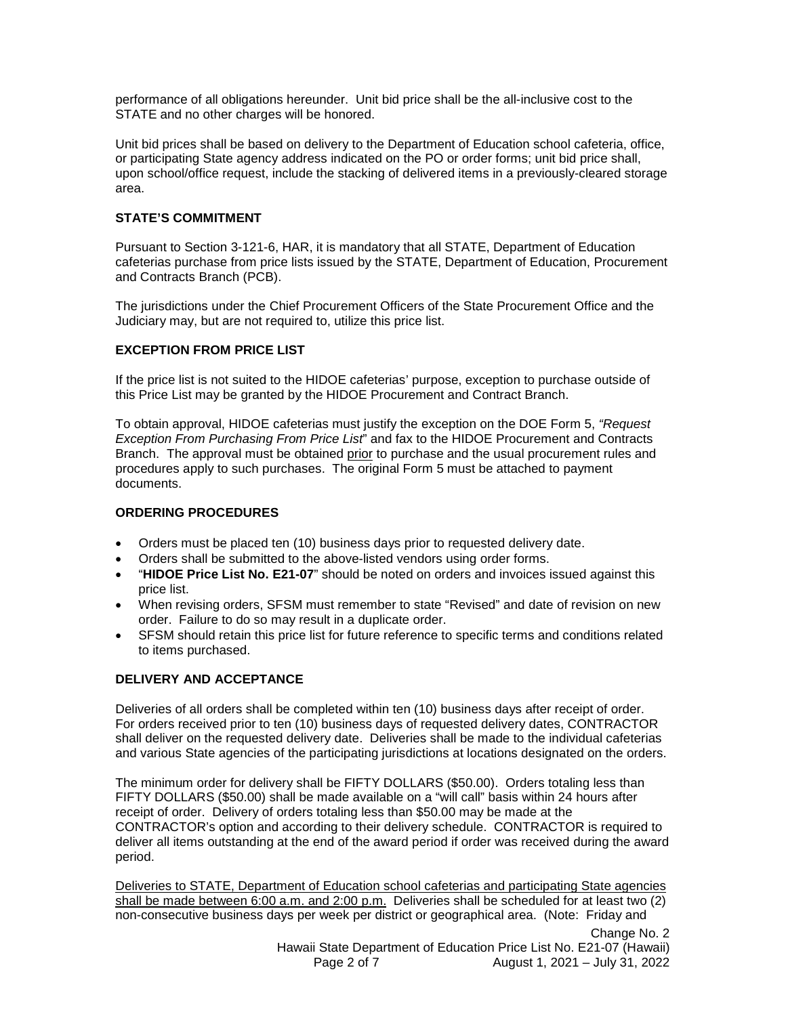performance of all obligations hereunder. Unit bid price shall be the all-inclusive cost to the STATE and no other charges will be honored.

Unit bid prices shall be based on delivery to the Department of Education school cafeteria, office, or participating State agency address indicated on the PO or order forms; unit bid price shall, upon school/office request, include the stacking of delivered items in a previously-cleared storage area.

### **STATE'S COMMITMENT**

Pursuant to Section 3-121-6, HAR, it is mandatory that all STATE, Department of Education cafeterias purchase from price lists issued by the STATE, Department of Education, Procurement and Contracts Branch (PCB).

The jurisdictions under the Chief Procurement Officers of the State Procurement Office and the Judiciary may, but are not required to, utilize this price list.

# **EXCEPTION FROM PRICE LIST**

If the price list is not suited to the HIDOE cafeterias' purpose, exception to purchase outside of this Price List may be granted by the HIDOE Procurement and Contract Branch.

To obtain approval, HIDOE cafeterias must justify the exception on the DOE Form 5, *"Request Exception From Purchasing From Price List*" and fax to the HIDOE Procurement and Contracts Branch. The approval must be obtained prior to purchase and the usual procurement rules and procedures apply to such purchases. The original Form 5 must be attached to payment documents.

### **ORDERING PROCEDURES**

- Orders must be placed ten (10) business days prior to requested delivery date.
- Orders shall be submitted to the above-listed vendors using order forms.
- "**HIDOE Price List No. E21-07**" should be noted on orders and invoices issued against this price list.
- When revising orders, SFSM must remember to state "Revised" and date of revision on new order. Failure to do so may result in a duplicate order.
- SFSM should retain this price list for future reference to specific terms and conditions related to items purchased.

# **DELIVERY AND ACCEPTANCE**

Deliveries of all orders shall be completed within ten (10) business days after receipt of order. For orders received prior to ten (10) business days of requested delivery dates, CONTRACTOR shall deliver on the requested delivery date. Deliveries shall be made to the individual cafeterias and various State agencies of the participating jurisdictions at locations designated on the orders.

The minimum order for delivery shall be FIFTY DOLLARS (\$50.00). Orders totaling less than FIFTY DOLLARS (\$50.00) shall be made available on a "will call" basis within 24 hours after receipt of order. Delivery of orders totaling less than \$50.00 may be made at the CONTRACTOR's option and according to their delivery schedule. CONTRACTOR is required to deliver all items outstanding at the end of the award period if order was received during the award period.

Deliveries to STATE, Department of Education school cafeterias and participating State agencies shall be made between 6:00 a.m. and 2:00 p.m. Deliveries shall be scheduled for at least two (2) non-consecutive business days per week per district or geographical area. (Note: Friday and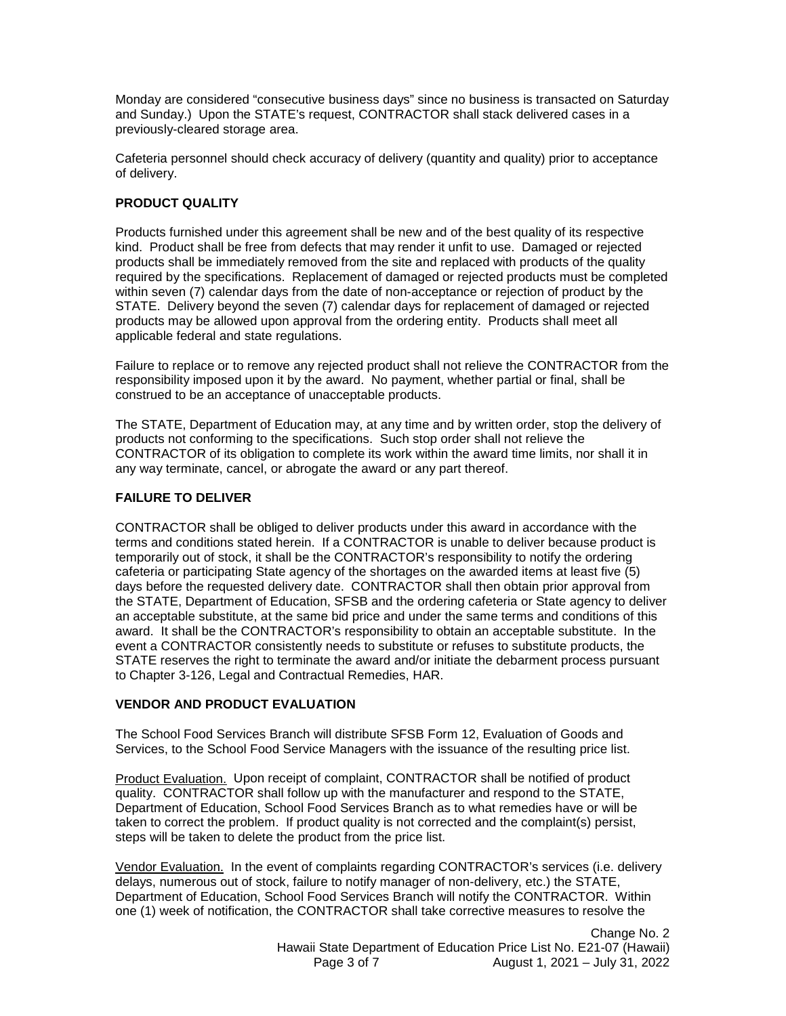Monday are considered "consecutive business days" since no business is transacted on Saturday and Sunday.) Upon the STATE's request, CONTRACTOR shall stack delivered cases in a previously-cleared storage area.

Cafeteria personnel should check accuracy of delivery (quantity and quality) prior to acceptance of delivery.

# **PRODUCT QUALITY**

Products furnished under this agreement shall be new and of the best quality of its respective kind. Product shall be free from defects that may render it unfit to use. Damaged or rejected products shall be immediately removed from the site and replaced with products of the quality required by the specifications. Replacement of damaged or rejected products must be completed within seven (7) calendar days from the date of non-acceptance or rejection of product by the STATE. Delivery beyond the seven (7) calendar days for replacement of damaged or rejected products may be allowed upon approval from the ordering entity. Products shall meet all applicable federal and state regulations.

Failure to replace or to remove any rejected product shall not relieve the CONTRACTOR from the responsibility imposed upon it by the award. No payment, whether partial or final, shall be construed to be an acceptance of unacceptable products.

The STATE, Department of Education may, at any time and by written order, stop the delivery of products not conforming to the specifications. Such stop order shall not relieve the CONTRACTOR of its obligation to complete its work within the award time limits, nor shall it in any way terminate, cancel, or abrogate the award or any part thereof.

# **FAILURE TO DELIVER**

CONTRACTOR shall be obliged to deliver products under this award in accordance with the terms and conditions stated herein. If a CONTRACTOR is unable to deliver because product is temporarily out of stock, it shall be the CONTRACTOR's responsibility to notify the ordering cafeteria or participating State agency of the shortages on the awarded items at least five (5) days before the requested delivery date. CONTRACTOR shall then obtain prior approval from the STATE, Department of Education, SFSB and the ordering cafeteria or State agency to deliver an acceptable substitute, at the same bid price and under the same terms and conditions of this award. It shall be the CONTRACTOR's responsibility to obtain an acceptable substitute. In the event a CONTRACTOR consistently needs to substitute or refuses to substitute products, the STATE reserves the right to terminate the award and/or initiate the debarment process pursuant to Chapter 3-126, Legal and Contractual Remedies, HAR.

# **VENDOR AND PRODUCT EVALUATION**

The School Food Services Branch will distribute SFSB Form 12, Evaluation of Goods and Services, to the School Food Service Managers with the issuance of the resulting price list.

Product Evaluation. Upon receipt of complaint, CONTRACTOR shall be notified of product quality. CONTRACTOR shall follow up with the manufacturer and respond to the STATE, Department of Education, School Food Services Branch as to what remedies have or will be taken to correct the problem. If product quality is not corrected and the complaint(s) persist, steps will be taken to delete the product from the price list.

Vendor Evaluation. In the event of complaints regarding CONTRACTOR's services (i.e. delivery delays, numerous out of stock, failure to notify manager of non-delivery, etc.) the STATE, Department of Education, School Food Services Branch will notify the CONTRACTOR. Within one (1) week of notification, the CONTRACTOR shall take corrective measures to resolve the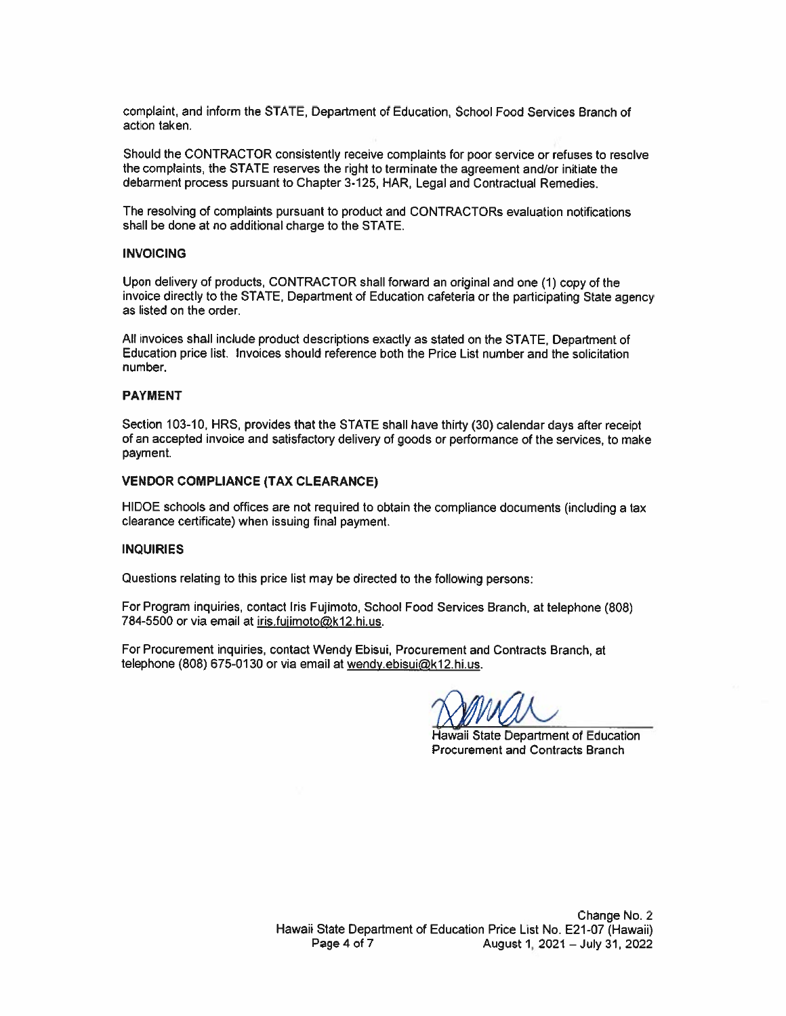complaint, and inform the STATE, Department of Education, School Food Services Branch of action taken.

Should the CONTRACTOR consistently receive complaints for poor service or refuses to resolve the complaints, the STATE reserves the right to terminate the agreement and/or initiate the debarment process pursuant to Chapter 3-125, HAR, Legal and Contractual Remedies.

The resolving of complaints pursuant to product and CONTRACTORs evaluation notifications shall be done at no additional charge to the STATE.

#### **INVOICING**

Upon delivery of products, CONTRACTOR shall forward an original and one (1) copy of the invoice directly to the STATE, Department of Education cafeteria or the participating State agency as listed on the order.

All invoices shall include product descriptions exactly as stated on the STATE, Department of Education price list. Invoices should reference both the Price List number and the solicitation number.

#### **PAYMENT**

Section 103-10, HRS, provides that the STATE shall have thirty (30) calendar days after receipt of an accepted invoice and satisfactory delivery of goods or performance of the services, to make payment.

#### **VENDOR COMPLIANCE (TAX CLEARANCE)**

HIDOE schools and offices are not required to obtain the compliance documents (including a tax clearance certificate) when issuing final payment.

#### **INQUIRIES**

Questions relating to this price list may be directed to the following persons:

For Program inquiries, contact Iris Fujimoto, School Food Services Branch, at telephone (808) 784-5500 or via email at iris.fujimoto@k12.hi.us.

For Procurement inquiries, contact Wendy Ebisui, Procurement and Contracts Branch, at telephone (808) 675-0130 or via email at wendy ebisui@k12.hi.us.

Hawaii State Department of Education **Procurement and Contracts Branch**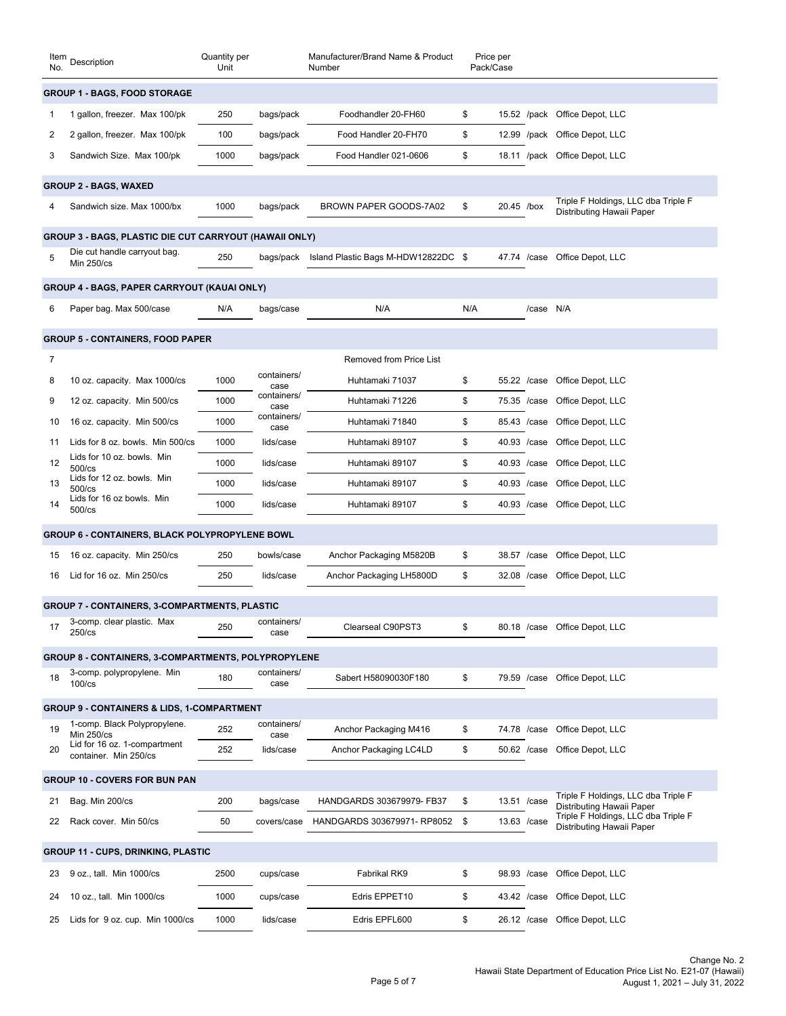| Item<br>No.                         | Description                                                | Quantity per<br>Unit |                     | Manufacturer/Brand Name & Product<br>Number | Price per<br>Pack/Case |              |                                                                  |
|-------------------------------------|------------------------------------------------------------|----------------------|---------------------|---------------------------------------------|------------------------|--------------|------------------------------------------------------------------|
| <b>GROUP 1 - BAGS, FOOD STORAGE</b> |                                                            |                      |                     |                                             |                        |              |                                                                  |
| 1                                   | 1 gallon, freezer. Max 100/pk                              | 250                  | bags/pack           | Foodhandler 20-FH60                         | \$                     |              | 15.52 /pack Office Depot, LLC                                    |
| 2                                   | 2 gallon, freezer. Max 100/pk                              | 100                  | bags/pack           | Food Handler 20-FH70                        | \$                     | 12.99 /pack  | Office Depot, LLC                                                |
| 3                                   | Sandwich Size. Max 100/pk                                  | 1000                 | bags/pack           | Food Handler 021-0606                       | \$                     |              | 18.11 /pack Office Depot, LLC                                    |
|                                     | <b>GROUP 2 - BAGS, WAXED</b>                               |                      |                     |                                             |                        |              |                                                                  |
|                                     | Sandwich size. Max 1000/bx                                 | 1000                 | bags/pack           | BROWN PAPER GOODS-7A02                      | \$                     | 20.45 /box   | Triple F Holdings, LLC dba Triple F<br>Distributing Hawaii Paper |
|                                     | GROUP 3 - BAGS, PLASTIC DIE CUT CARRYOUT (HAWAII ONLY)     |                      |                     |                                             |                        |              |                                                                  |
| 5                                   | Die cut handle carryout bag.<br>Min 250/cs                 | 250                  | bags/pack           | Island Plastic Bags M-HDW12822DC \$         |                        | 47.74 /case  | Office Depot, LLC                                                |
|                                     | GROUP 4 - BAGS, PAPER CARRYOUT (KAUAI ONLY)                |                      |                     |                                             |                        |              |                                                                  |
| 6                                   | Paper bag. Max 500/case                                    | N/A                  | bags/case           | N/A                                         | N/A                    | /case N/A    |                                                                  |
|                                     | <b>GROUP 5 - CONTAINERS, FOOD PAPER</b>                    |                      |                     |                                             |                        |              |                                                                  |
| 7                                   |                                                            |                      |                     | <b>Removed from Price List</b>              |                        |              |                                                                  |
| 8                                   | 10 oz. capacity. Max 1000/cs                               | 1000                 | containers/<br>case | Huhtamaki 71037                             | \$                     | 55.22 / case | Office Depot, LLC                                                |
| 9                                   | 12 oz. capacity. Min 500/cs                                | 1000                 | containers/<br>case | Huhtamaki 71226                             | \$                     | 75.35 /case  | Office Depot, LLC                                                |
| 10                                  | 16 oz. capacity. Min 500/cs                                | 1000                 | containers/<br>case | Huhtamaki 71840                             | \$                     | 85.43 /case  | Office Depot, LLC                                                |
| 11                                  | Lids for 8 oz. bowls. Min 500/cs                           | 1000                 | lids/case           | Huhtamaki 89107                             | \$                     | 40.93 /case  | Office Depot, LLC                                                |
| 12                                  | Lids for 10 oz. bowls. Min<br>500/cs                       | 1000                 | lids/case           | Huhtamaki 89107                             | \$                     | 40.93 /case  | Office Depot, LLC                                                |
| 13                                  | Lids for 12 oz. bowls. Min<br>$500$ /cs                    | 1000                 | lids/case           | Huhtamaki 89107                             | \$                     | 40.93 /case  | Office Depot, LLC                                                |
| 14                                  | Lids for 16 oz bowls. Min<br>500/cs                        | 1000                 | lids/case           | Huhtamaki 89107                             | \$                     | 40.93 /case  | Office Depot, LLC                                                |
|                                     | GROUP 6 - CONTAINERS, BLACK POLYPROPYLENE BOWL             |                      |                     |                                             |                        |              |                                                                  |
| 15                                  | 16 oz. capacity. Min 250/cs                                | 250                  | bowls/case          | Anchor Packaging M5820B                     | \$                     | 38.57 / case | Office Depot, LLC                                                |
| 16                                  | Lid for 16 oz. Min 250/cs                                  | 250                  | lids/case           | Anchor Packaging LH5800D                    | \$                     | 32.08 / case | Office Depot, LLC                                                |
|                                     | <b>GROUP 7 - CONTAINERS, 3-COMPARTMENTS, PLASTIC</b>       |                      |                     |                                             |                        |              |                                                                  |
|                                     | 3-comp. clear plastic. Max<br>$250$ /cs                    | 250                  | containers/<br>case | Clearseal C90PST3                           | \$                     |              | 80.18 /case Office Depot, LLC                                    |
|                                     | <b>GROUP 8 - CONTAINERS, 3-COMPARTMENTS, POLYPROPYLENE</b> |                      |                     |                                             |                        |              |                                                                  |
| 18                                  | 3-comp. polypropylene. Min                                 | 180                  | containers/         | Sabert H58090030F180                        | \$                     | 79.59 / case | Office Depot, LLC                                                |
|                                     | $100$ / $cs$                                               |                      | case                |                                             |                        |              |                                                                  |
|                                     | <b>GROUP 9 - CONTAINERS &amp; LIDS, 1-COMPARTMENT</b>      |                      |                     |                                             |                        |              |                                                                  |
| 19                                  | 1-comp. Black Polypropylene.<br><b>Min 250/cs</b>          | 252                  | containers/<br>case | Anchor Packaging M416                       | \$                     | 74.78 /case  | Office Depot, LLC                                                |
| 20                                  | Lid for 16 oz. 1-compartment<br>container. Min 250/cs      | 252                  | lids/case           | Anchor Packaging LC4LD                      | \$                     | 50.62 /case  | Office Depot, LLC                                                |
|                                     | <b>GROUP 10 - COVERS FOR BUN PAN</b>                       |                      |                     |                                             |                        |              |                                                                  |
| 21                                  | Bag. Min 200/cs                                            | 200                  | bags/case           | HANDGARDS 303679979- FB37                   | \$                     | 13.51 /case  | Triple F Holdings, LLC dba Triple F<br>Distributing Hawaii Paper |
| 22                                  | Rack cover. Min 50/cs                                      | 50                   | covers/case         | HANDGARDS 303679971-RP8052 \$               |                        | 13.63 /case  | Triple F Holdings, LLC dba Triple F<br>Distributing Hawaii Paper |
|                                     | <b>GROUP 11 - CUPS, DRINKING, PLASTIC</b>                  |                      |                     |                                             |                        |              |                                                                  |
| 23                                  | 9 oz., tall. Min 1000/cs                                   | 2500                 | cups/case           | Fabrikal RK9                                | \$                     | 98.93 / case | Office Depot, LLC                                                |
| 24                                  | 10 oz., tall. Min 1000/cs                                  | 1000                 | cups/case           | Edris EPPET10                               | \$                     | 43.42 /case  | Office Depot, LLC                                                |
| 25                                  | Lids for 9 oz. cup. Min 1000/cs                            | 1000                 | lids/case           | Edris EPFL600                               | \$                     | 26.12 / case | Office Depot, LLC                                                |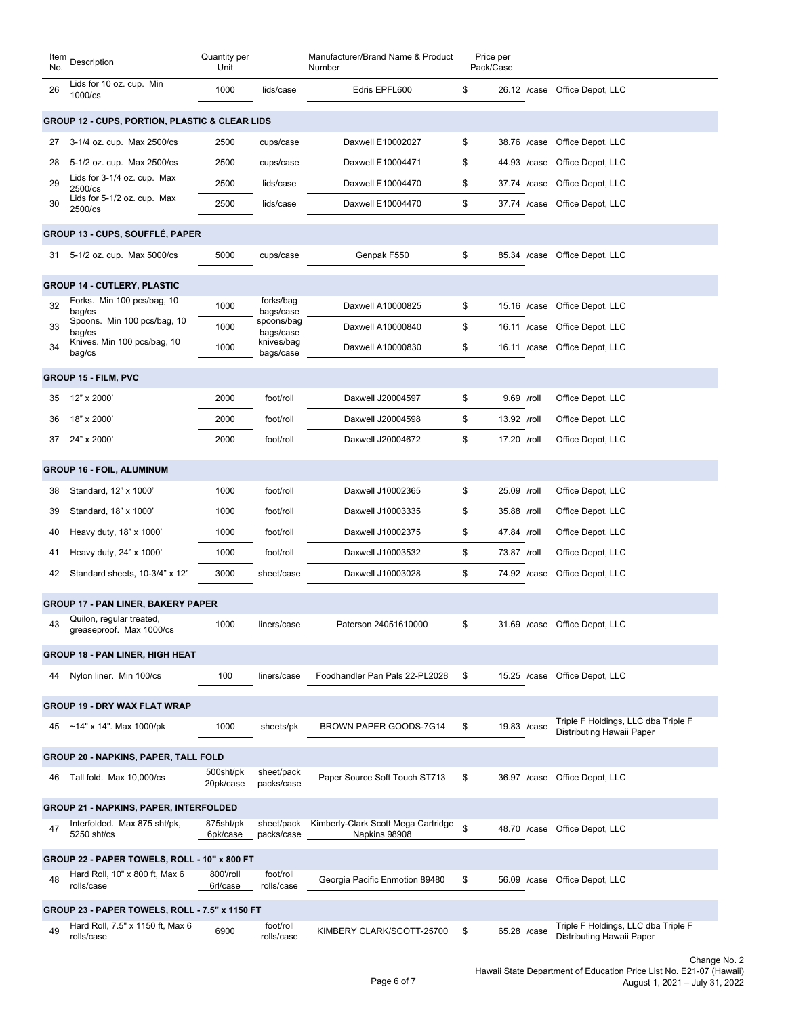| Lids for 10 oz. cup. Min<br>1000<br>lids/case<br>Edris EPFL600<br>\$<br>26.12 /case Office Depot, LLC<br>26<br>1000/cs<br><b>GROUP 12 - CUPS, PORTION, PLASTIC &amp; CLEAR LIDS</b><br>cups/case<br>Daxwell E10002027<br>\$<br>Office Depot, LLC<br>3-1/4 oz. cup. Max 2500/cs<br>2500<br>38.76 / case<br>27<br>5-1/2 oz. cup. Max 2500/cs<br>2500<br>Daxwell E10004471<br>\$<br>44.93 /case<br>Office Depot, LLC<br>cups/case<br>28<br>Lids for 3-1/4 oz. cup. Max<br>2500<br>\$<br>37.74 /case<br>lids/case<br>Daxwell E10004470<br>Office Depot, LLC<br>29<br>2500/cs<br>Lids for 5-1/2 oz. cup. Max<br>\$<br>30<br>2500<br>lids/case<br>Office Depot, LLC<br>Daxwell E10004470<br>37.74 /case<br>2500/cs<br><b>GROUP 13 - CUPS, SOUFFLÉ, PAPER</b><br>5000<br>Genpak F550<br>\$<br>Office Depot, LLC<br>5-1/2 oz. cup. Max 5000/cs<br>cups/case<br>85.34 / case<br>31<br><b>GROUP 14 - CUTLERY, PLASTIC</b><br>Forks. Min 100 pcs/bag, 10<br>forks/bag<br>1000<br>32<br>Daxwell A10000825<br>Office Depot, LLC<br>\$<br>15.16 /case<br>bags/case<br>bag/cs<br>Spoons. Min 100 pcs/bag, 10<br>spoons/bag<br>33<br>\$<br>1000<br>Daxwell A10000840<br>16.11 /case<br>Office Depot, LLC<br>bags/case<br>bag/cs<br>Knives. Min 100 pcs/bag, 10<br>knives/bag<br>\$<br>34<br>1000<br>Daxwell A10000830<br>Office Depot, LLC<br>16.11 / case<br>bags/case<br>bag/cs<br>GROUP 15 - FILM, PVC<br>12" x 2000'<br>2000<br>foot/roll<br>Daxwell J20004597<br>\$<br>9.69 /roll<br>Office Depot, LLC<br>35<br>\$<br>18" x 2000'<br>2000<br>foot/roll<br>Daxwell J20004598<br>13.92 /roll<br>Office Depot, LLC<br>36<br>2000<br>Daxwell J20004672<br>\$<br>17.20 /roll<br>Office Depot, LLC<br>24" x 2000'<br>foot/roll<br>37<br><b>GROUP 16 - FOIL, ALUMINUM</b><br>1000<br>foot/roll<br>Daxwell J10002365<br>25.09 /roll<br>Office Depot, LLC<br>Standard, 12" x 1000'<br>\$<br>38<br>\$<br>1000<br>foot/roll<br>Daxwell J10003335<br>35.88 /roll<br>Office Depot, LLC<br>39<br>Standard, 18" x 1000'<br>1000<br>\$<br>47.84 /roll<br>Office Depot, LLC<br>Heavy duty, 18" x 1000'<br>foot/roll<br>Daxwell J10002375<br>40<br>foot/roll<br>Daxwell J10003532<br>\$<br>73.87 /roll<br>Office Depot, LLC<br>Heavy duty, 24" x 1000"<br>1000<br>41<br>\$<br>3000<br>Daxwell J10003028<br>74.92 /case<br>Office Depot, LLC<br>42<br>Standard sheets, 10-3/4" x 12"<br>sheet/case<br><b>GROUP 17 - PAN LINER, BAKERY PAPER</b><br>Quilon, regular treated,<br>1000<br>Paterson 24051610000<br>\$.<br>31.69 /case Office Depot, LLC<br>43<br>liners/case<br>greaseproof. Max 1000/cs<br><b>GROUP 18 - PAN LINER, HIGH HEAT</b><br>100<br>Foodhandler Pan Pals 22-PL2028<br>Office Depot, LLC<br>Nylon liner. Min 100/cs<br>liners/case<br>\$<br>15.25 / case<br>44<br><b>GROUP 19 - DRY WAX FLAT WRAP</b><br>Triple F Holdings, LLC dba Triple F<br>1000<br>BROWN PAPER GOODS-7G14<br>\$<br>$~14"$ x 14". Max 1000/pk<br>sheets/pk<br>19.83 /case<br>45<br>Distributing Hawaii Paper<br><b>GROUP 20 - NAPKINS, PAPER, TALL FOLD</b><br>sheet/pack<br>500sht/pk<br>Paper Source Soft Touch ST713<br>\$<br>Office Depot, LLC<br>Tall fold. Max 10,000/cs<br>36.97 / case<br>46<br>packs/case<br>20pk/case<br><b>GROUP 21 - NAPKINS, PAPER, INTERFOLDED</b><br>Kimberly-Clark Scott Mega Cartridge<br>Interfolded. Max 875 sht/pk,<br>875sht/pk<br>sheet/pack<br>\$<br>Office Depot, LLC<br>47<br>48.70 / case<br>5250 sht/cs<br>6pk/case<br>packs/case<br>Napkins 98908<br>GROUP 22 - PAPER TOWELS, ROLL - 10" x 800 FT<br>foot/roll<br>Hard Roll, 10" x 800 ft, Max 6<br>800'/roll<br>Georgia Pacific Enmotion 89480<br>\$<br>Office Depot, LLC<br>48<br>56.09 / case<br>rolls/case<br>rolls/case<br>6rl/case<br>GROUP 23 - PAPER TOWELS, ROLL - 7.5" x 1150 FT<br>Triple F Holdings, LLC dba Triple F<br>Hard Roll, 7.5" x 1150 ft, Max 6<br>foot/roll<br>6900<br>49<br>KIMBERY CLARK/SCOTT-25700<br>\$<br>65.28 /case<br>Distributing Hawaii Paper<br>rolls/case<br>rolls/case | Item<br>No. | Description | Quantity per<br>Unit |  | Manufacturer/Brand Name & Product<br>Number |  | Price per<br>Pack/Case |  |
|-------------------------------------------------------------------------------------------------------------------------------------------------------------------------------------------------------------------------------------------------------------------------------------------------------------------------------------------------------------------------------------------------------------------------------------------------------------------------------------------------------------------------------------------------------------------------------------------------------------------------------------------------------------------------------------------------------------------------------------------------------------------------------------------------------------------------------------------------------------------------------------------------------------------------------------------------------------------------------------------------------------------------------------------------------------------------------------------------------------------------------------------------------------------------------------------------------------------------------------------------------------------------------------------------------------------------------------------------------------------------------------------------------------------------------------------------------------------------------------------------------------------------------------------------------------------------------------------------------------------------------------------------------------------------------------------------------------------------------------------------------------------------------------------------------------------------------------------------------------------------------------------------------------------------------------------------------------------------------------------------------------------------------------------------------------------------------------------------------------------------------------------------------------------------------------------------------------------------------------------------------------------------------------------------------------------------------------------------------------------------------------------------------------------------------------------------------------------------------------------------------------------------------------------------------------------------------------------------------------------------------------------------------------------------------------------------------------------------------------------------------------------------------------------------------------------------------------------------------------------------------------------------------------------------------------------------------------------------------------------------------------------------------------------------------------------------------------------------------------------------------------------------------------------------------------------------------------------------------------------------------------------------------------------------------------------------------------------------------------------------------------------------------------------------------------------------------------------------------------------------------------------------------------------------------------------------------------------------------------------------------------------------------------------------------------------------------------------------------------------------------------------------------------------------------------------------------------------------------------------------------------------------------------------------------------------------------------------|-------------|-------------|----------------------|--|---------------------------------------------|--|------------------------|--|
|                                                                                                                                                                                                                                                                                                                                                                                                                                                                                                                                                                                                                                                                                                                                                                                                                                                                                                                                                                                                                                                                                                                                                                                                                                                                                                                                                                                                                                                                                                                                                                                                                                                                                                                                                                                                                                                                                                                                                                                                                                                                                                                                                                                                                                                                                                                                                                                                                                                                                                                                                                                                                                                                                                                                                                                                                                                                                                                                                                                                                                                                                                                                                                                                                                                                                                                                                                                                                                                                                                                                                                                                                                                                                                                                                                                                                                                                                                                                                                   |             |             |                      |  |                                             |  |                        |  |
|                                                                                                                                                                                                                                                                                                                                                                                                                                                                                                                                                                                                                                                                                                                                                                                                                                                                                                                                                                                                                                                                                                                                                                                                                                                                                                                                                                                                                                                                                                                                                                                                                                                                                                                                                                                                                                                                                                                                                                                                                                                                                                                                                                                                                                                                                                                                                                                                                                                                                                                                                                                                                                                                                                                                                                                                                                                                                                                                                                                                                                                                                                                                                                                                                                                                                                                                                                                                                                                                                                                                                                                                                                                                                                                                                                                                                                                                                                                                                                   |             |             |                      |  |                                             |  |                        |  |
|                                                                                                                                                                                                                                                                                                                                                                                                                                                                                                                                                                                                                                                                                                                                                                                                                                                                                                                                                                                                                                                                                                                                                                                                                                                                                                                                                                                                                                                                                                                                                                                                                                                                                                                                                                                                                                                                                                                                                                                                                                                                                                                                                                                                                                                                                                                                                                                                                                                                                                                                                                                                                                                                                                                                                                                                                                                                                                                                                                                                                                                                                                                                                                                                                                                                                                                                                                                                                                                                                                                                                                                                                                                                                                                                                                                                                                                                                                                                                                   |             |             |                      |  |                                             |  |                        |  |
|                                                                                                                                                                                                                                                                                                                                                                                                                                                                                                                                                                                                                                                                                                                                                                                                                                                                                                                                                                                                                                                                                                                                                                                                                                                                                                                                                                                                                                                                                                                                                                                                                                                                                                                                                                                                                                                                                                                                                                                                                                                                                                                                                                                                                                                                                                                                                                                                                                                                                                                                                                                                                                                                                                                                                                                                                                                                                                                                                                                                                                                                                                                                                                                                                                                                                                                                                                                                                                                                                                                                                                                                                                                                                                                                                                                                                                                                                                                                                                   |             |             |                      |  |                                             |  |                        |  |
|                                                                                                                                                                                                                                                                                                                                                                                                                                                                                                                                                                                                                                                                                                                                                                                                                                                                                                                                                                                                                                                                                                                                                                                                                                                                                                                                                                                                                                                                                                                                                                                                                                                                                                                                                                                                                                                                                                                                                                                                                                                                                                                                                                                                                                                                                                                                                                                                                                                                                                                                                                                                                                                                                                                                                                                                                                                                                                                                                                                                                                                                                                                                                                                                                                                                                                                                                                                                                                                                                                                                                                                                                                                                                                                                                                                                                                                                                                                                                                   |             |             |                      |  |                                             |  |                        |  |
|                                                                                                                                                                                                                                                                                                                                                                                                                                                                                                                                                                                                                                                                                                                                                                                                                                                                                                                                                                                                                                                                                                                                                                                                                                                                                                                                                                                                                                                                                                                                                                                                                                                                                                                                                                                                                                                                                                                                                                                                                                                                                                                                                                                                                                                                                                                                                                                                                                                                                                                                                                                                                                                                                                                                                                                                                                                                                                                                                                                                                                                                                                                                                                                                                                                                                                                                                                                                                                                                                                                                                                                                                                                                                                                                                                                                                                                                                                                                                                   |             |             |                      |  |                                             |  |                        |  |
|                                                                                                                                                                                                                                                                                                                                                                                                                                                                                                                                                                                                                                                                                                                                                                                                                                                                                                                                                                                                                                                                                                                                                                                                                                                                                                                                                                                                                                                                                                                                                                                                                                                                                                                                                                                                                                                                                                                                                                                                                                                                                                                                                                                                                                                                                                                                                                                                                                                                                                                                                                                                                                                                                                                                                                                                                                                                                                                                                                                                                                                                                                                                                                                                                                                                                                                                                                                                                                                                                                                                                                                                                                                                                                                                                                                                                                                                                                                                                                   |             |             |                      |  |                                             |  |                        |  |
|                                                                                                                                                                                                                                                                                                                                                                                                                                                                                                                                                                                                                                                                                                                                                                                                                                                                                                                                                                                                                                                                                                                                                                                                                                                                                                                                                                                                                                                                                                                                                                                                                                                                                                                                                                                                                                                                                                                                                                                                                                                                                                                                                                                                                                                                                                                                                                                                                                                                                                                                                                                                                                                                                                                                                                                                                                                                                                                                                                                                                                                                                                                                                                                                                                                                                                                                                                                                                                                                                                                                                                                                                                                                                                                                                                                                                                                                                                                                                                   |             |             |                      |  |                                             |  |                        |  |
|                                                                                                                                                                                                                                                                                                                                                                                                                                                                                                                                                                                                                                                                                                                                                                                                                                                                                                                                                                                                                                                                                                                                                                                                                                                                                                                                                                                                                                                                                                                                                                                                                                                                                                                                                                                                                                                                                                                                                                                                                                                                                                                                                                                                                                                                                                                                                                                                                                                                                                                                                                                                                                                                                                                                                                                                                                                                                                                                                                                                                                                                                                                                                                                                                                                                                                                                                                                                                                                                                                                                                                                                                                                                                                                                                                                                                                                                                                                                                                   |             |             |                      |  |                                             |  |                        |  |
|                                                                                                                                                                                                                                                                                                                                                                                                                                                                                                                                                                                                                                                                                                                                                                                                                                                                                                                                                                                                                                                                                                                                                                                                                                                                                                                                                                                                                                                                                                                                                                                                                                                                                                                                                                                                                                                                                                                                                                                                                                                                                                                                                                                                                                                                                                                                                                                                                                                                                                                                                                                                                                                                                                                                                                                                                                                                                                                                                                                                                                                                                                                                                                                                                                                                                                                                                                                                                                                                                                                                                                                                                                                                                                                                                                                                                                                                                                                                                                   |             |             |                      |  |                                             |  |                        |  |
|                                                                                                                                                                                                                                                                                                                                                                                                                                                                                                                                                                                                                                                                                                                                                                                                                                                                                                                                                                                                                                                                                                                                                                                                                                                                                                                                                                                                                                                                                                                                                                                                                                                                                                                                                                                                                                                                                                                                                                                                                                                                                                                                                                                                                                                                                                                                                                                                                                                                                                                                                                                                                                                                                                                                                                                                                                                                                                                                                                                                                                                                                                                                                                                                                                                                                                                                                                                                                                                                                                                                                                                                                                                                                                                                                                                                                                                                                                                                                                   |             |             |                      |  |                                             |  |                        |  |
|                                                                                                                                                                                                                                                                                                                                                                                                                                                                                                                                                                                                                                                                                                                                                                                                                                                                                                                                                                                                                                                                                                                                                                                                                                                                                                                                                                                                                                                                                                                                                                                                                                                                                                                                                                                                                                                                                                                                                                                                                                                                                                                                                                                                                                                                                                                                                                                                                                                                                                                                                                                                                                                                                                                                                                                                                                                                                                                                                                                                                                                                                                                                                                                                                                                                                                                                                                                                                                                                                                                                                                                                                                                                                                                                                                                                                                                                                                                                                                   |             |             |                      |  |                                             |  |                        |  |
|                                                                                                                                                                                                                                                                                                                                                                                                                                                                                                                                                                                                                                                                                                                                                                                                                                                                                                                                                                                                                                                                                                                                                                                                                                                                                                                                                                                                                                                                                                                                                                                                                                                                                                                                                                                                                                                                                                                                                                                                                                                                                                                                                                                                                                                                                                                                                                                                                                                                                                                                                                                                                                                                                                                                                                                                                                                                                                                                                                                                                                                                                                                                                                                                                                                                                                                                                                                                                                                                                                                                                                                                                                                                                                                                                                                                                                                                                                                                                                   |             |             |                      |  |                                             |  |                        |  |
|                                                                                                                                                                                                                                                                                                                                                                                                                                                                                                                                                                                                                                                                                                                                                                                                                                                                                                                                                                                                                                                                                                                                                                                                                                                                                                                                                                                                                                                                                                                                                                                                                                                                                                                                                                                                                                                                                                                                                                                                                                                                                                                                                                                                                                                                                                                                                                                                                                                                                                                                                                                                                                                                                                                                                                                                                                                                                                                                                                                                                                                                                                                                                                                                                                                                                                                                                                                                                                                                                                                                                                                                                                                                                                                                                                                                                                                                                                                                                                   |             |             |                      |  |                                             |  |                        |  |
|                                                                                                                                                                                                                                                                                                                                                                                                                                                                                                                                                                                                                                                                                                                                                                                                                                                                                                                                                                                                                                                                                                                                                                                                                                                                                                                                                                                                                                                                                                                                                                                                                                                                                                                                                                                                                                                                                                                                                                                                                                                                                                                                                                                                                                                                                                                                                                                                                                                                                                                                                                                                                                                                                                                                                                                                                                                                                                                                                                                                                                                                                                                                                                                                                                                                                                                                                                                                                                                                                                                                                                                                                                                                                                                                                                                                                                                                                                                                                                   |             |             |                      |  |                                             |  |                        |  |
|                                                                                                                                                                                                                                                                                                                                                                                                                                                                                                                                                                                                                                                                                                                                                                                                                                                                                                                                                                                                                                                                                                                                                                                                                                                                                                                                                                                                                                                                                                                                                                                                                                                                                                                                                                                                                                                                                                                                                                                                                                                                                                                                                                                                                                                                                                                                                                                                                                                                                                                                                                                                                                                                                                                                                                                                                                                                                                                                                                                                                                                                                                                                                                                                                                                                                                                                                                                                                                                                                                                                                                                                                                                                                                                                                                                                                                                                                                                                                                   |             |             |                      |  |                                             |  |                        |  |
|                                                                                                                                                                                                                                                                                                                                                                                                                                                                                                                                                                                                                                                                                                                                                                                                                                                                                                                                                                                                                                                                                                                                                                                                                                                                                                                                                                                                                                                                                                                                                                                                                                                                                                                                                                                                                                                                                                                                                                                                                                                                                                                                                                                                                                                                                                                                                                                                                                                                                                                                                                                                                                                                                                                                                                                                                                                                                                                                                                                                                                                                                                                                                                                                                                                                                                                                                                                                                                                                                                                                                                                                                                                                                                                                                                                                                                                                                                                                                                   |             |             |                      |  |                                             |  |                        |  |
|                                                                                                                                                                                                                                                                                                                                                                                                                                                                                                                                                                                                                                                                                                                                                                                                                                                                                                                                                                                                                                                                                                                                                                                                                                                                                                                                                                                                                                                                                                                                                                                                                                                                                                                                                                                                                                                                                                                                                                                                                                                                                                                                                                                                                                                                                                                                                                                                                                                                                                                                                                                                                                                                                                                                                                                                                                                                                                                                                                                                                                                                                                                                                                                                                                                                                                                                                                                                                                                                                                                                                                                                                                                                                                                                                                                                                                                                                                                                                                   |             |             |                      |  |                                             |  |                        |  |
|                                                                                                                                                                                                                                                                                                                                                                                                                                                                                                                                                                                                                                                                                                                                                                                                                                                                                                                                                                                                                                                                                                                                                                                                                                                                                                                                                                                                                                                                                                                                                                                                                                                                                                                                                                                                                                                                                                                                                                                                                                                                                                                                                                                                                                                                                                                                                                                                                                                                                                                                                                                                                                                                                                                                                                                                                                                                                                                                                                                                                                                                                                                                                                                                                                                                                                                                                                                                                                                                                                                                                                                                                                                                                                                                                                                                                                                                                                                                                                   |             |             |                      |  |                                             |  |                        |  |
|                                                                                                                                                                                                                                                                                                                                                                                                                                                                                                                                                                                                                                                                                                                                                                                                                                                                                                                                                                                                                                                                                                                                                                                                                                                                                                                                                                                                                                                                                                                                                                                                                                                                                                                                                                                                                                                                                                                                                                                                                                                                                                                                                                                                                                                                                                                                                                                                                                                                                                                                                                                                                                                                                                                                                                                                                                                                                                                                                                                                                                                                                                                                                                                                                                                                                                                                                                                                                                                                                                                                                                                                                                                                                                                                                                                                                                                                                                                                                                   |             |             |                      |  |                                             |  |                        |  |
|                                                                                                                                                                                                                                                                                                                                                                                                                                                                                                                                                                                                                                                                                                                                                                                                                                                                                                                                                                                                                                                                                                                                                                                                                                                                                                                                                                                                                                                                                                                                                                                                                                                                                                                                                                                                                                                                                                                                                                                                                                                                                                                                                                                                                                                                                                                                                                                                                                                                                                                                                                                                                                                                                                                                                                                                                                                                                                                                                                                                                                                                                                                                                                                                                                                                                                                                                                                                                                                                                                                                                                                                                                                                                                                                                                                                                                                                                                                                                                   |             |             |                      |  |                                             |  |                        |  |
|                                                                                                                                                                                                                                                                                                                                                                                                                                                                                                                                                                                                                                                                                                                                                                                                                                                                                                                                                                                                                                                                                                                                                                                                                                                                                                                                                                                                                                                                                                                                                                                                                                                                                                                                                                                                                                                                                                                                                                                                                                                                                                                                                                                                                                                                                                                                                                                                                                                                                                                                                                                                                                                                                                                                                                                                                                                                                                                                                                                                                                                                                                                                                                                                                                                                                                                                                                                                                                                                                                                                                                                                                                                                                                                                                                                                                                                                                                                                                                   |             |             |                      |  |                                             |  |                        |  |
|                                                                                                                                                                                                                                                                                                                                                                                                                                                                                                                                                                                                                                                                                                                                                                                                                                                                                                                                                                                                                                                                                                                                                                                                                                                                                                                                                                                                                                                                                                                                                                                                                                                                                                                                                                                                                                                                                                                                                                                                                                                                                                                                                                                                                                                                                                                                                                                                                                                                                                                                                                                                                                                                                                                                                                                                                                                                                                                                                                                                                                                                                                                                                                                                                                                                                                                                                                                                                                                                                                                                                                                                                                                                                                                                                                                                                                                                                                                                                                   |             |             |                      |  |                                             |  |                        |  |
|                                                                                                                                                                                                                                                                                                                                                                                                                                                                                                                                                                                                                                                                                                                                                                                                                                                                                                                                                                                                                                                                                                                                                                                                                                                                                                                                                                                                                                                                                                                                                                                                                                                                                                                                                                                                                                                                                                                                                                                                                                                                                                                                                                                                                                                                                                                                                                                                                                                                                                                                                                                                                                                                                                                                                                                                                                                                                                                                                                                                                                                                                                                                                                                                                                                                                                                                                                                                                                                                                                                                                                                                                                                                                                                                                                                                                                                                                                                                                                   |             |             |                      |  |                                             |  |                        |  |
|                                                                                                                                                                                                                                                                                                                                                                                                                                                                                                                                                                                                                                                                                                                                                                                                                                                                                                                                                                                                                                                                                                                                                                                                                                                                                                                                                                                                                                                                                                                                                                                                                                                                                                                                                                                                                                                                                                                                                                                                                                                                                                                                                                                                                                                                                                                                                                                                                                                                                                                                                                                                                                                                                                                                                                                                                                                                                                                                                                                                                                                                                                                                                                                                                                                                                                                                                                                                                                                                                                                                                                                                                                                                                                                                                                                                                                                                                                                                                                   |             |             |                      |  |                                             |  |                        |  |
|                                                                                                                                                                                                                                                                                                                                                                                                                                                                                                                                                                                                                                                                                                                                                                                                                                                                                                                                                                                                                                                                                                                                                                                                                                                                                                                                                                                                                                                                                                                                                                                                                                                                                                                                                                                                                                                                                                                                                                                                                                                                                                                                                                                                                                                                                                                                                                                                                                                                                                                                                                                                                                                                                                                                                                                                                                                                                                                                                                                                                                                                                                                                                                                                                                                                                                                                                                                                                                                                                                                                                                                                                                                                                                                                                                                                                                                                                                                                                                   |             |             |                      |  |                                             |  |                        |  |
|                                                                                                                                                                                                                                                                                                                                                                                                                                                                                                                                                                                                                                                                                                                                                                                                                                                                                                                                                                                                                                                                                                                                                                                                                                                                                                                                                                                                                                                                                                                                                                                                                                                                                                                                                                                                                                                                                                                                                                                                                                                                                                                                                                                                                                                                                                                                                                                                                                                                                                                                                                                                                                                                                                                                                                                                                                                                                                                                                                                                                                                                                                                                                                                                                                                                                                                                                                                                                                                                                                                                                                                                                                                                                                                                                                                                                                                                                                                                                                   |             |             |                      |  |                                             |  |                        |  |
|                                                                                                                                                                                                                                                                                                                                                                                                                                                                                                                                                                                                                                                                                                                                                                                                                                                                                                                                                                                                                                                                                                                                                                                                                                                                                                                                                                                                                                                                                                                                                                                                                                                                                                                                                                                                                                                                                                                                                                                                                                                                                                                                                                                                                                                                                                                                                                                                                                                                                                                                                                                                                                                                                                                                                                                                                                                                                                                                                                                                                                                                                                                                                                                                                                                                                                                                                                                                                                                                                                                                                                                                                                                                                                                                                                                                                                                                                                                                                                   |             |             |                      |  |                                             |  |                        |  |
|                                                                                                                                                                                                                                                                                                                                                                                                                                                                                                                                                                                                                                                                                                                                                                                                                                                                                                                                                                                                                                                                                                                                                                                                                                                                                                                                                                                                                                                                                                                                                                                                                                                                                                                                                                                                                                                                                                                                                                                                                                                                                                                                                                                                                                                                                                                                                                                                                                                                                                                                                                                                                                                                                                                                                                                                                                                                                                                                                                                                                                                                                                                                                                                                                                                                                                                                                                                                                                                                                                                                                                                                                                                                                                                                                                                                                                                                                                                                                                   |             |             |                      |  |                                             |  |                        |  |
|                                                                                                                                                                                                                                                                                                                                                                                                                                                                                                                                                                                                                                                                                                                                                                                                                                                                                                                                                                                                                                                                                                                                                                                                                                                                                                                                                                                                                                                                                                                                                                                                                                                                                                                                                                                                                                                                                                                                                                                                                                                                                                                                                                                                                                                                                                                                                                                                                                                                                                                                                                                                                                                                                                                                                                                                                                                                                                                                                                                                                                                                                                                                                                                                                                                                                                                                                                                                                                                                                                                                                                                                                                                                                                                                                                                                                                                                                                                                                                   |             |             |                      |  |                                             |  |                        |  |
|                                                                                                                                                                                                                                                                                                                                                                                                                                                                                                                                                                                                                                                                                                                                                                                                                                                                                                                                                                                                                                                                                                                                                                                                                                                                                                                                                                                                                                                                                                                                                                                                                                                                                                                                                                                                                                                                                                                                                                                                                                                                                                                                                                                                                                                                                                                                                                                                                                                                                                                                                                                                                                                                                                                                                                                                                                                                                                                                                                                                                                                                                                                                                                                                                                                                                                                                                                                                                                                                                                                                                                                                                                                                                                                                                                                                                                                                                                                                                                   |             |             |                      |  |                                             |  |                        |  |
|                                                                                                                                                                                                                                                                                                                                                                                                                                                                                                                                                                                                                                                                                                                                                                                                                                                                                                                                                                                                                                                                                                                                                                                                                                                                                                                                                                                                                                                                                                                                                                                                                                                                                                                                                                                                                                                                                                                                                                                                                                                                                                                                                                                                                                                                                                                                                                                                                                                                                                                                                                                                                                                                                                                                                                                                                                                                                                                                                                                                                                                                                                                                                                                                                                                                                                                                                                                                                                                                                                                                                                                                                                                                                                                                                                                                                                                                                                                                                                   |             |             |                      |  |                                             |  |                        |  |
|                                                                                                                                                                                                                                                                                                                                                                                                                                                                                                                                                                                                                                                                                                                                                                                                                                                                                                                                                                                                                                                                                                                                                                                                                                                                                                                                                                                                                                                                                                                                                                                                                                                                                                                                                                                                                                                                                                                                                                                                                                                                                                                                                                                                                                                                                                                                                                                                                                                                                                                                                                                                                                                                                                                                                                                                                                                                                                                                                                                                                                                                                                                                                                                                                                                                                                                                                                                                                                                                                                                                                                                                                                                                                                                                                                                                                                                                                                                                                                   |             |             |                      |  |                                             |  |                        |  |
|                                                                                                                                                                                                                                                                                                                                                                                                                                                                                                                                                                                                                                                                                                                                                                                                                                                                                                                                                                                                                                                                                                                                                                                                                                                                                                                                                                                                                                                                                                                                                                                                                                                                                                                                                                                                                                                                                                                                                                                                                                                                                                                                                                                                                                                                                                                                                                                                                                                                                                                                                                                                                                                                                                                                                                                                                                                                                                                                                                                                                                                                                                                                                                                                                                                                                                                                                                                                                                                                                                                                                                                                                                                                                                                                                                                                                                                                                                                                                                   |             |             |                      |  |                                             |  |                        |  |
|                                                                                                                                                                                                                                                                                                                                                                                                                                                                                                                                                                                                                                                                                                                                                                                                                                                                                                                                                                                                                                                                                                                                                                                                                                                                                                                                                                                                                                                                                                                                                                                                                                                                                                                                                                                                                                                                                                                                                                                                                                                                                                                                                                                                                                                                                                                                                                                                                                                                                                                                                                                                                                                                                                                                                                                                                                                                                                                                                                                                                                                                                                                                                                                                                                                                                                                                                                                                                                                                                                                                                                                                                                                                                                                                                                                                                                                                                                                                                                   |             |             |                      |  |                                             |  |                        |  |
|                                                                                                                                                                                                                                                                                                                                                                                                                                                                                                                                                                                                                                                                                                                                                                                                                                                                                                                                                                                                                                                                                                                                                                                                                                                                                                                                                                                                                                                                                                                                                                                                                                                                                                                                                                                                                                                                                                                                                                                                                                                                                                                                                                                                                                                                                                                                                                                                                                                                                                                                                                                                                                                                                                                                                                                                                                                                                                                                                                                                                                                                                                                                                                                                                                                                                                                                                                                                                                                                                                                                                                                                                                                                                                                                                                                                                                                                                                                                                                   |             |             |                      |  |                                             |  |                        |  |
|                                                                                                                                                                                                                                                                                                                                                                                                                                                                                                                                                                                                                                                                                                                                                                                                                                                                                                                                                                                                                                                                                                                                                                                                                                                                                                                                                                                                                                                                                                                                                                                                                                                                                                                                                                                                                                                                                                                                                                                                                                                                                                                                                                                                                                                                                                                                                                                                                                                                                                                                                                                                                                                                                                                                                                                                                                                                                                                                                                                                                                                                                                                                                                                                                                                                                                                                                                                                                                                                                                                                                                                                                                                                                                                                                                                                                                                                                                                                                                   |             |             |                      |  |                                             |  |                        |  |